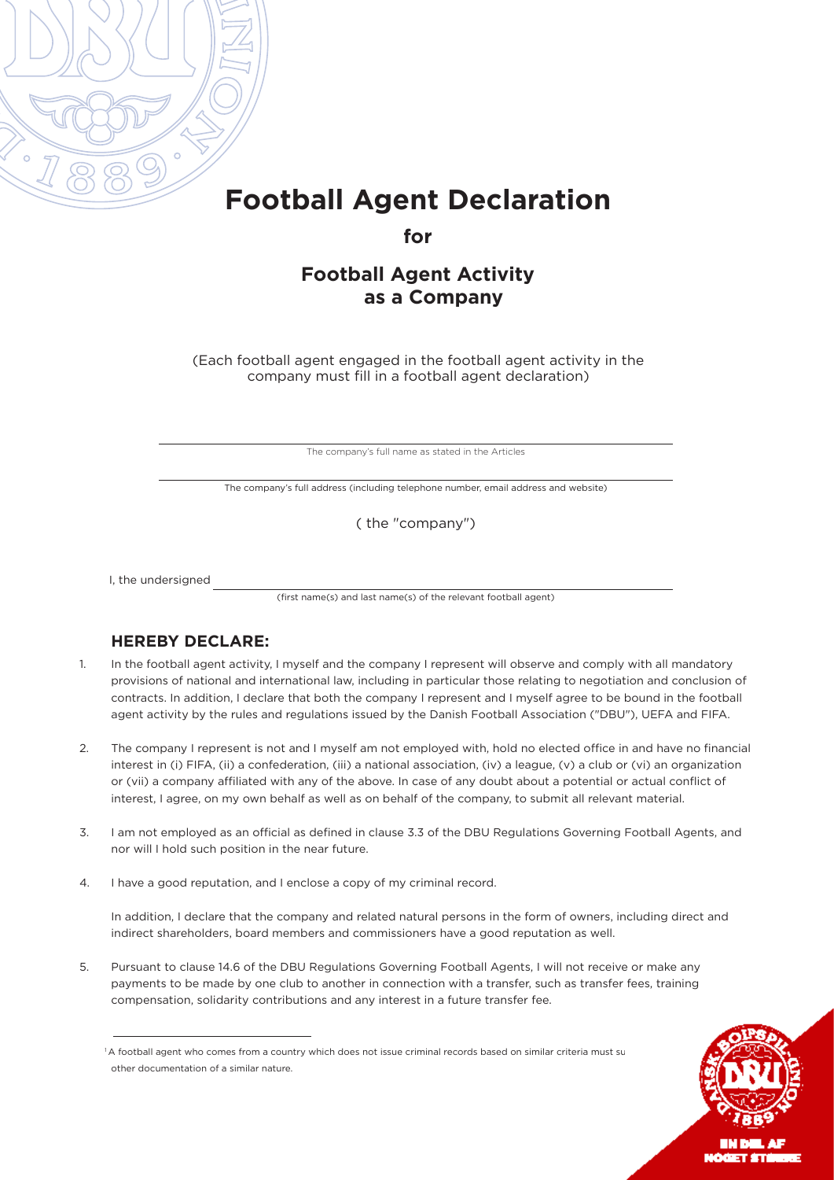

## **Football Agent Declaration**

**for**

## **Football Agent Activity as a Company**

(Each football agent engaged in the football agent activity in the company must fill in a football agent declaration)

The company's full name as stated in the Articles

The company's full address (including telephone number, email address and website)

( the "company")

I, the undersigned

(first name(s) and last name(s) of the relevant football agent)

## **HEREBY DECLARE:**

- 1. In the football agent activity, I myself and the company I represent will observe and comply with all mandatory provisions of national and international law, including in particular those relating to negotiation and conclusion of contracts. In addition, I declare that both the company I represent and I myself agree to be bound in the football agent activity by the rules and regulations issued by the Danish Football Association ("DBU"), UEFA and FIFA.
- 2. The company I represent is not and I myself am not employed with, hold no elected office in and have no financial interest in (i) FIFA, (ii) a confederation, (iii) a national association, (iv) a league, (v) a club or (vi) an organization or (vii) a company affiliated with any of the above. In case of any doubt about a potential or actual conflict of interest, I agree, on my own behalf as well as on behalf of the company, to submit all relevant material.
- 3. I am not employed as an official as defined in clause 3.3 of the DBU Regulations Governing Football Agents, and nor will I hold such position in the near future.
- 4. I have a good reputation, and I enclose a copy of my criminal record.

In addition, I declare that the company and related natural persons in the form of owners, including direct and indirect shareholders, board members and commissioners have a good reputation as well.

5. Pursuant to clause 14.6 of the DBU Regulations Governing Football Agents, I will not receive or make any payments to be made by one club to another in connection with a transfer, such as transfer fees, training compensation, solidarity contributions and any interest in a future transfer fee.



**EM NEL AR** NÓGET STÚM

<sup>&</sup>lt;sup>1</sup> A football agent who comes from a country which does not issue criminal records based on similar criteria must su other documentation of a similar nature.